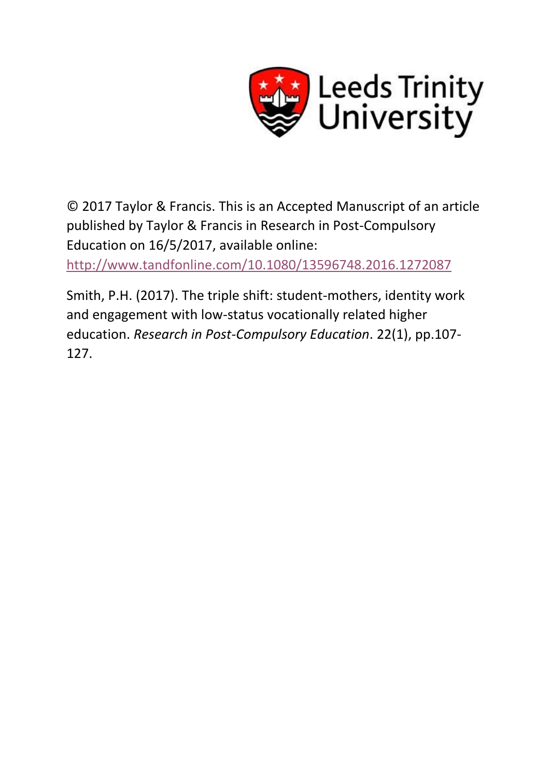

© 2017 Taylor & Francis. This is an Accepted Manuscript of an article published by Taylor & Francis in Research in Post-Compulsory Education on 16/5/2017, available online: <http://www.tandfonline.com/10.1080/13596748.2016.1272087>

Smith, P.H. (2017). The triple shift: student-mothers, identity work and engagement with low-status vocationally related higher education. *Research in Post-Compulsory Education*. 22(1), pp.107- 127.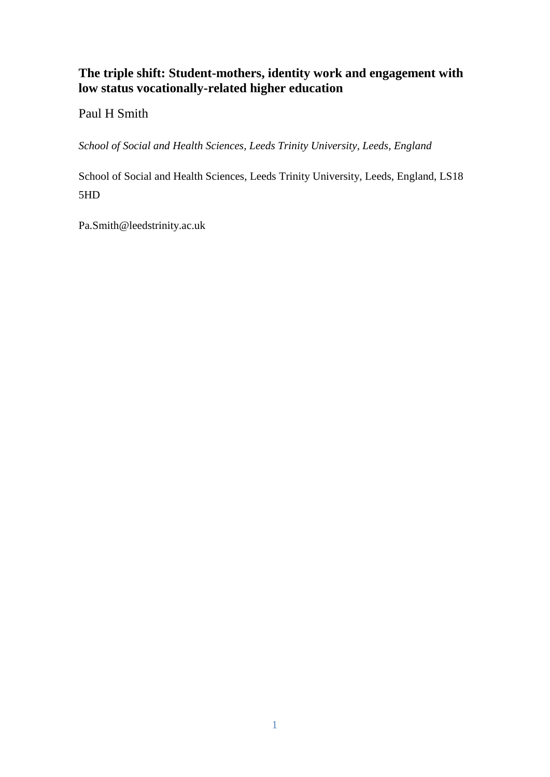# **The triple shift: Student-mothers, identity work and engagement with low status vocationally-related higher education**

Paul H Smith

*School of Social and Health Sciences, Leeds Trinity University, Leeds, England*

School of Social and Health Sciences, Leeds Trinity University, Leeds, England, LS18 5HD

Pa.Smith@leedstrinity.ac.uk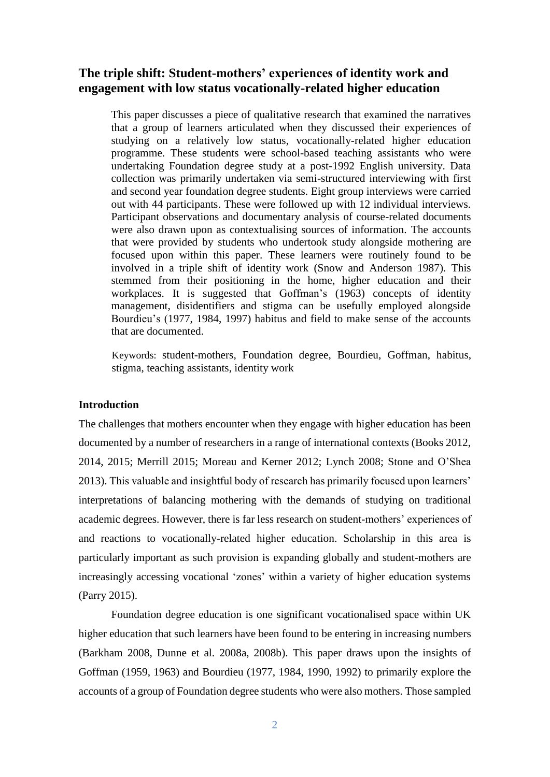## **The triple shift: Student-mothers' experiences of identity work and engagement with low status vocationally-related higher education**

This paper discusses a piece of qualitative research that examined the narratives that a group of learners articulated when they discussed their experiences of studying on a relatively low status, vocationally-related higher education programme. These students were school-based teaching assistants who were undertaking Foundation degree study at a post-1992 English university. Data collection was primarily undertaken via semi-structured interviewing with first and second year foundation degree students. Eight group interviews were carried out with 44 participants. These were followed up with 12 individual interviews. Participant observations and documentary analysis of course-related documents were also drawn upon as contextualising sources of information. The accounts that were provided by students who undertook study alongside mothering are focused upon within this paper. These learners were routinely found to be involved in a triple shift of identity work (Snow and Anderson 1987). This stemmed from their positioning in the home, higher education and their workplaces. It is suggested that Goffman's (1963) concepts of identity management, disidentifiers and stigma can be usefully employed alongside Bourdieu's (1977, 1984, 1997) habitus and field to make sense of the accounts that are documented.

Keywords: student-mothers, Foundation degree, Bourdieu, Goffman, habitus, stigma, teaching assistants, identity work

#### **Introduction**

The challenges that mothers encounter when they engage with higher education has been documented by a number of researchers in a range of international contexts (Books 2012, 2014, 2015; Merrill 2015; Moreau and Kerner 2012; Lynch 2008; Stone and O'Shea 2013). This valuable and insightful body of research has primarily focused upon learners' interpretations of balancing mothering with the demands of studying on traditional academic degrees. However, there is far less research on student-mothers' experiences of and reactions to vocationally-related higher education. Scholarship in this area is particularly important as such provision is expanding globally and student-mothers are increasingly accessing vocational 'zones' within a variety of higher education systems (Parry 2015).

Foundation degree education is one significant vocationalised space within UK higher education that such learners have been found to be entering in increasing numbers (Barkham 2008, Dunne et al. 2008a, 2008b). This paper draws upon the insights of Goffman (1959, 1963) and Bourdieu (1977, 1984, 1990, 1992) to primarily explore the accounts of a group of Foundation degree students who were also mothers. Those sampled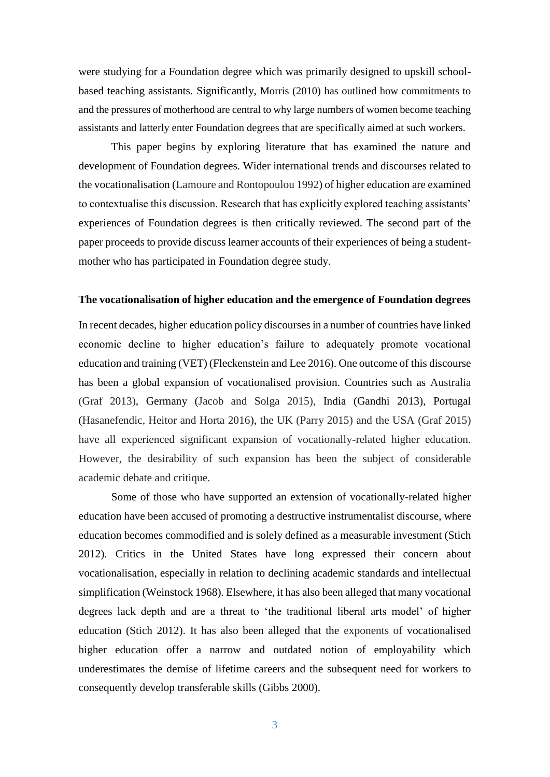were studying for a Foundation degree which was primarily designed to upskill schoolbased teaching assistants. Significantly, Morris (2010) has outlined how commitments to and the pressures of motherhood are central to why large numbers of women become teaching assistants and latterly enter Foundation degrees that are specifically aimed at such workers.

This paper begins by exploring literature that has examined the nature and development of Foundation degrees. Wider international trends and discourses related to the vocationalisation (Lamoure and Rontopoulou 1992) of higher education are examined to contextualise this discussion. Research that has explicitly explored teaching assistants' experiences of Foundation degrees is then critically reviewed. The second part of the paper proceeds to provide discuss learner accounts of their experiences of being a studentmother who has participated in Foundation degree study.

#### **The vocationalisation of higher education and the emergence of Foundation degrees**

In recent decades, higher education policy discourses in a number of countries have linked economic decline to higher education's failure to adequately promote vocational education and training (VET) (Fleckenstein and Lee 2016). One outcome of this discourse has been a global expansion of vocationalised provision. Countries such as Australia (Graf 2013), Germany (Jacob and Solga 2015), India (Gandhi 2013), Portugal (Hasanefendic, Heitor and Horta 2016), the UK (Parry 2015) and the USA (Graf 2015) have all experienced significant expansion of vocationally-related higher education. However, the desirability of such expansion has been the subject of considerable academic debate and critique.

Some of those who have supported an extension of vocationally-related higher education have been accused of promoting a destructive instrumentalist discourse, where education becomes commodified and is solely defined as a measurable investment (Stich 2012). Critics in the United States have long expressed their concern about vocationalisation, especially in relation to declining academic standards and intellectual simplification (Weinstock 1968). Elsewhere, it has also been alleged that many vocational degrees lack depth and are a threat to 'the traditional liberal arts model' of higher education (Stich 2012). It has also been alleged that the exponents of vocationalised higher education offer a narrow and outdated notion of employability which underestimates the demise of lifetime careers and the subsequent need for workers to consequently develop transferable skills (Gibbs 2000).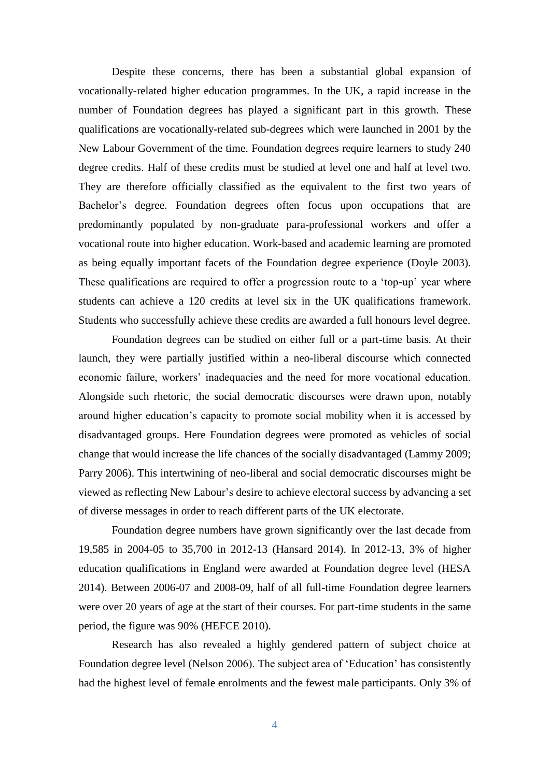Despite these concerns, there has been a substantial global expansion of vocationally-related higher education programmes. In the UK, a rapid increase in the number of Foundation degrees has played a significant part in this growth. These qualifications are vocationally-related sub-degrees which were launched in 2001 by the New Labour Government of the time. Foundation degrees require learners to study 240 degree credits. Half of these credits must be studied at level one and half at level two. They are therefore officially classified as the equivalent to the first two years of Bachelor's degree. Foundation degrees often focus upon occupations that are predominantly populated by non-graduate para-professional workers and offer a vocational route into higher education. Work-based and academic learning are promoted as being equally important facets of the Foundation degree experience (Doyle 2003). These qualifications are required to offer a progression route to a 'top-up' year where students can achieve a 120 credits at level six in the UK qualifications framework. Students who successfully achieve these credits are awarded a full honours level degree.

Foundation degrees can be studied on either full or a part-time basis. At their launch, they were partially justified within a neo-liberal discourse which connected economic failure, workers' inadequacies and the need for more vocational education. Alongside such rhetoric, the social democratic discourses were drawn upon, notably around higher education's capacity to promote social mobility when it is accessed by disadvantaged groups. Here Foundation degrees were promoted as vehicles of social change that would increase the life chances of the socially disadvantaged (Lammy 2009; Parry 2006). This intertwining of neo-liberal and social democratic discourses might be viewed as reflecting New Labour's desire to achieve electoral success by advancing a set of diverse messages in order to reach different parts of the UK electorate.

Foundation degree numbers have grown significantly over the last decade from 19,585 in 2004-05 to 35,700 in 2012-13 (Hansard 2014). In 2012-13, 3% of higher education qualifications in England were awarded at Foundation degree level (HESA 2014). Between 2006-07 and 2008-09, half of all full-time Foundation degree learners were over 20 years of age at the start of their courses. For part-time students in the same period, the figure was 90% (HEFCE 2010).

Research has also revealed a highly gendered pattern of subject choice at Foundation degree level (Nelson 2006). The subject area of 'Education' has consistently had the highest level of female enrolments and the fewest male participants. Only 3% of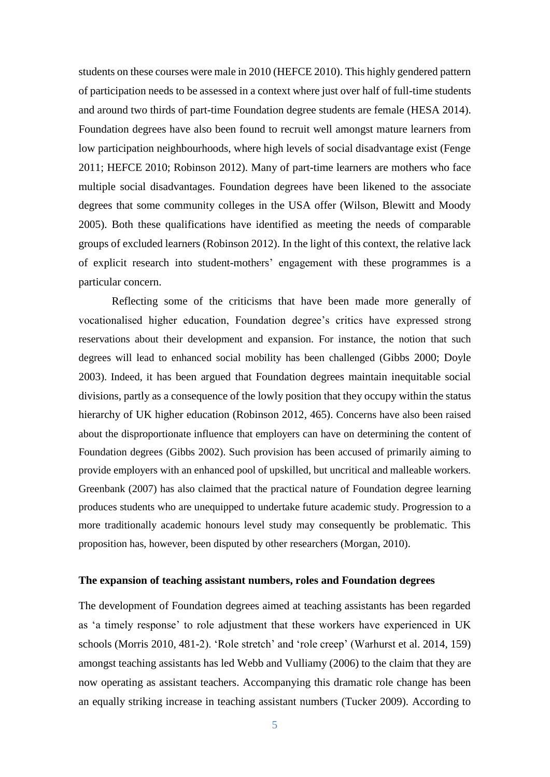students on these courses were male in 2010 (HEFCE 2010). This highly gendered pattern of participation needs to be assessed in a context where just over half of full-time students and around two thirds of part-time Foundation degree students are female (HESA 2014). Foundation degrees have also been found to recruit well amongst mature learners from low participation neighbourhoods, where high levels of social disadvantage exist (Fenge 2011; HEFCE 2010; Robinson 2012). Many of part-time learners are mothers who face multiple social disadvantages. Foundation degrees have been likened to the associate degrees that some community colleges in the USA offer (Wilson, Blewitt and Moody 2005). Both these qualifications have identified as meeting the needs of comparable groups of excluded learners (Robinson 2012). In the light of this context, the relative lack of explicit research into student-mothers' engagement with these programmes is a particular concern.

Reflecting some of the criticisms that have been made more generally of vocationalised higher education, Foundation degree's critics have expressed strong reservations about their development and expansion. For instance, the notion that such degrees will lead to enhanced social mobility has been challenged (Gibbs 2000; Doyle 2003). Indeed, it has been argued that Foundation degrees maintain inequitable social divisions, partly as a consequence of the lowly position that they occupy within the status hierarchy of UK higher education (Robinson 2012, 465). Concerns have also been raised about the disproportionate influence that employers can have on determining the content of Foundation degrees (Gibbs 2002). Such provision has been accused of primarily aiming to provide employers with an enhanced pool of upskilled, but uncritical and malleable workers. Greenbank (2007) has also claimed that the practical nature of Foundation degree learning produces students who are unequipped to undertake future academic study. Progression to a more traditionally academic honours level study may consequently be problematic. This proposition has, however, been disputed by other researchers (Morgan, 2010).

#### **The expansion of teaching assistant numbers, roles and Foundation degrees**

The development of Foundation degrees aimed at teaching assistants has been regarded as 'a timely response' to role adjustment that these workers have experienced in UK schools (Morris 2010, 481-2). 'Role stretch' and 'role creep' (Warhurst et al. 2014, 159) amongst teaching assistants has led Webb and Vulliamy (2006) to the claim that they are now operating as assistant teachers. Accompanying this dramatic role change has been an equally striking increase in teaching assistant numbers (Tucker 2009). According to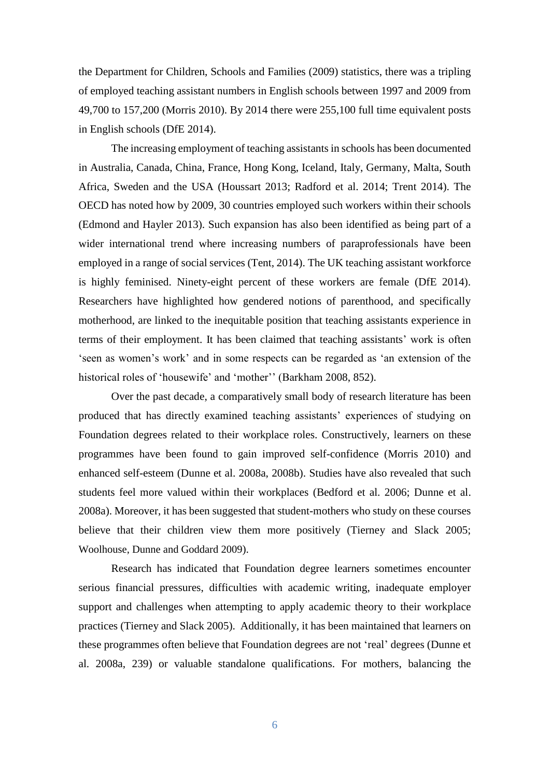the Department for Children, Schools and Families (2009) statistics, there was a tripling of employed teaching assistant numbers in English schools between 1997 and 2009 from 49,700 to 157,200 (Morris 2010). By 2014 there were 255,100 full time equivalent posts in English schools (DfE 2014).

The increasing employment of teaching assistants in schools has been documented in Australia, Canada, China, France, Hong Kong, Iceland, Italy, Germany, Malta, South Africa, Sweden and the USA (Houssart 2013; Radford et al. 2014; Trent 2014). The OECD has noted how by 2009, 30 countries employed such workers within their schools (Edmond and Hayler 2013). Such expansion has also been identified as being part of a wider international trend where increasing numbers of paraprofessionals have been employed in a range of social services (Tent, 2014). The UK teaching assistant workforce is highly feminised. Ninety-eight percent of these workers are female (DfE 2014). Researchers have highlighted how gendered notions of parenthood, and specifically motherhood, are linked to the inequitable position that teaching assistants experience in terms of their employment. It has been claimed that teaching assistants' work is often 'seen as women's work' and in some respects can be regarded as 'an extension of the historical roles of 'housewife' and 'mother'' (Barkham 2008, 852).

Over the past decade, a comparatively small body of research literature has been produced that has directly examined teaching assistants' experiences of studying on Foundation degrees related to their workplace roles. Constructively, learners on these programmes have been found to gain improved self-confidence (Morris 2010) and enhanced self-esteem (Dunne et al. 2008a, 2008b). Studies have also revealed that such students feel more valued within their workplaces (Bedford et al. 2006; Dunne et al. 2008a). Moreover, it has been suggested that student-mothers who study on these courses believe that their children view them more positively (Tierney and Slack 2005; Woolhouse, Dunne and Goddard 2009).

Research has indicated that Foundation degree learners sometimes encounter serious financial pressures, difficulties with academic writing, inadequate employer support and challenges when attempting to apply academic theory to their workplace practices (Tierney and Slack 2005). Additionally, it has been maintained that learners on these programmes often believe that Foundation degrees are not 'real' degrees (Dunne et al. 2008a, 239) or valuable standalone qualifications. For mothers, balancing the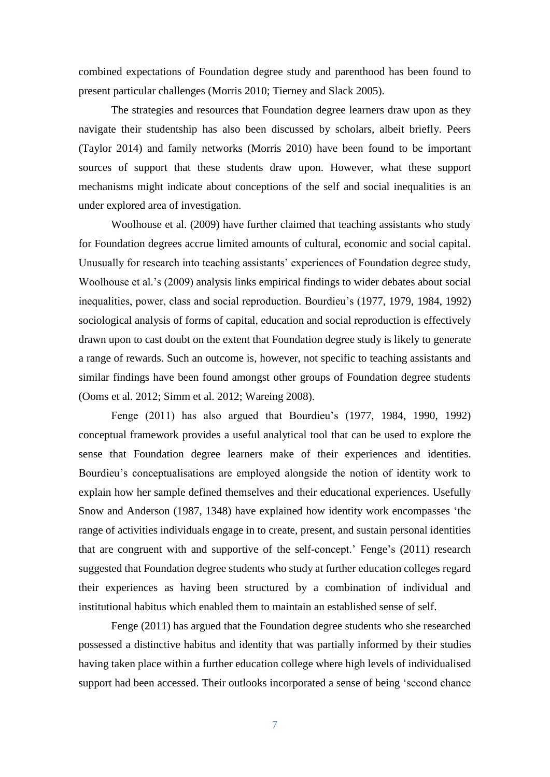combined expectations of Foundation degree study and parenthood has been found to present particular challenges (Morris 2010; Tierney and Slack 2005).

The strategies and resources that Foundation degree learners draw upon as they navigate their studentship has also been discussed by scholars, albeit briefly. Peers (Taylor 2014) and family networks (Morris 2010) have been found to be important sources of support that these students draw upon. However, what these support mechanisms might indicate about conceptions of the self and social inequalities is an under explored area of investigation.

Woolhouse et al. (2009) have further claimed that teaching assistants who study for Foundation degrees accrue limited amounts of cultural, economic and social capital. Unusually for research into teaching assistants' experiences of Foundation degree study, Woolhouse et al.'s (2009) analysis links empirical findings to wider debates about social inequalities, power, class and social reproduction. Bourdieu's (1977, 1979, 1984, 1992) sociological analysis of forms of capital, education and social reproduction is effectively drawn upon to cast doubt on the extent that Foundation degree study is likely to generate a range of rewards. Such an outcome is, however, not specific to teaching assistants and similar findings have been found amongst other groups of Foundation degree students (Ooms et al. 2012; Simm et al. 2012; Wareing 2008).

Fenge (2011) has also argued that Bourdieu's (1977, 1984, 1990, 1992) conceptual framework provides a useful analytical tool that can be used to explore the sense that Foundation degree learners make of their experiences and identities. Bourdieu's conceptualisations are employed alongside the notion of identity work to explain how her sample defined themselves and their educational experiences. Usefully Snow and Anderson (1987, 1348) have explained how identity work encompasses 'the range of activities individuals engage in to create, present, and sustain personal identities that are congruent with and supportive of the self-concept.' Fenge's (2011) research suggested that Foundation degree students who study at further education colleges regard their experiences as having been structured by a combination of individual and institutional habitus which enabled them to maintain an established sense of self.

Fenge (2011) has argued that the Foundation degree students who she researched possessed a distinctive habitus and identity that was partially informed by their studies having taken place within a further education college where high levels of individualised support had been accessed. Their outlooks incorporated a sense of being 'second chance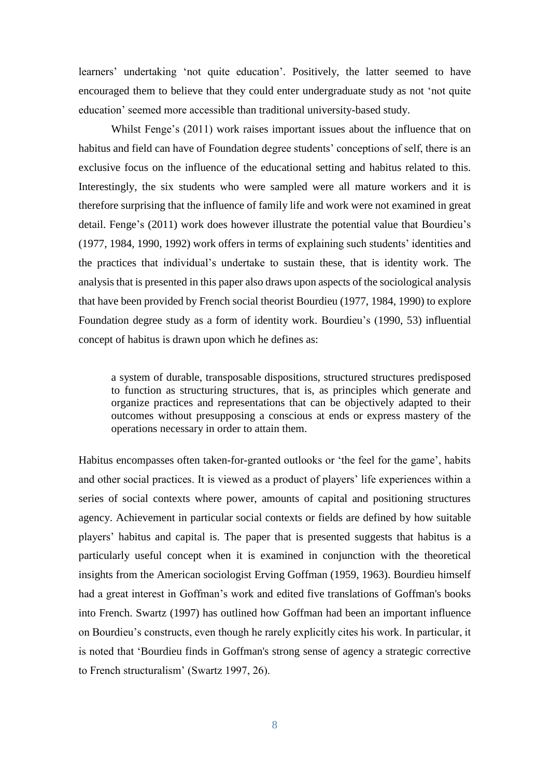learners' undertaking 'not quite education'. Positively, the latter seemed to have encouraged them to believe that they could enter undergraduate study as not 'not quite education' seemed more accessible than traditional university-based study.

Whilst Fenge's (2011) work raises important issues about the influence that on habitus and field can have of Foundation degree students' conceptions of self, there is an exclusive focus on the influence of the educational setting and habitus related to this. Interestingly, the six students who were sampled were all mature workers and it is therefore surprising that the influence of family life and work were not examined in great detail. Fenge's (2011) work does however illustrate the potential value that Bourdieu's (1977, 1984, 1990, 1992) work offers in terms of explaining such students' identities and the practices that individual's undertake to sustain these, that is identity work. The analysis that is presented in this paper also draws upon aspects of the sociological analysis that have been provided by French social theorist Bourdieu (1977, 1984, 1990) to explore Foundation degree study as a form of identity work. Bourdieu's (1990, 53) influential concept of habitus is drawn upon which he defines as:

a system of durable, transposable dispositions, structured structures predisposed to function as structuring structures, that is, as principles which generate and organize practices and representations that can be objectively adapted to their outcomes without presupposing a conscious at ends or express mastery of the operations necessary in order to attain them.

Habitus encompasses often taken-for-granted outlooks or 'the feel for the game', habits and other social practices. It is viewed as a product of players' life experiences within a series of social contexts where power, amounts of capital and positioning structures agency. Achievement in particular social contexts or fields are defined by how suitable players' habitus and capital is. The paper that is presented suggests that habitus is a particularly useful concept when it is examined in conjunction with the theoretical insights from the American sociologist Erving Goffman (1959, 1963). Bourdieu himself had a great interest in Goffman's work and edited five translations of Goffman's books into French. Swartz (1997) has outlined how Goffman had been an important influence on Bourdieu's constructs, even though he rarely explicitly cites his work. In particular, it is noted that 'Bourdieu finds in Goffman's strong sense of agency a strategic corrective to French structuralism' (Swartz 1997, 26).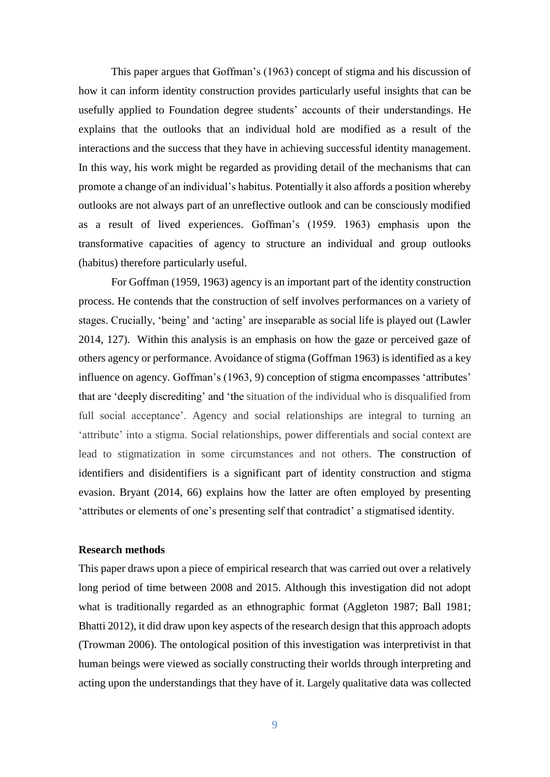This paper argues that Goffman's (1963) concept of stigma and his discussion of how it can inform identity construction provides particularly useful insights that can be usefully applied to Foundation degree students' accounts of their understandings. He explains that the outlooks that an individual hold are modified as a result of the interactions and the success that they have in achieving successful identity management. In this way, his work might be regarded as providing detail of the mechanisms that can promote a change of an individual's habitus. Potentially it also affords a position whereby outlooks are not always part of an unreflective outlook and can be consciously modified as a result of lived experiences. Goffman's (1959. 1963) emphasis upon the transformative capacities of agency to structure an individual and group outlooks (habitus) therefore particularly useful.

For Goffman (1959, 1963) agency is an important part of the identity construction process. He contends that the construction of self involves performances on a variety of stages. Crucially, 'being' and 'acting' are inseparable as social life is played out (Lawler 2014, 127). Within this analysis is an emphasis on how the gaze or perceived gaze of others agency or performance. Avoidance of stigma (Goffman 1963) is identified as a key influence on agency. Goffman's (1963, 9) conception of stigma encompasses 'attributes' that are 'deeply discrediting' and 'the situation of the individual who is disqualified from full social acceptance'. Agency and social relationships are integral to turning an 'attribute' into a stigma. Social relationships, power differentials and social context are lead to stigmatization in some circumstances and not others. The construction of identifiers and disidentifiers is a significant part of identity construction and stigma evasion. Bryant (2014, 66) explains how the latter are often employed by presenting 'attributes or elements of one's presenting self that contradict' a stigmatised identity.

## **Research methods**

This paper draws upon a piece of empirical research that was carried out over a relatively long period of time between 2008 and 2015. Although this investigation did not adopt what is traditionally regarded as an ethnographic format (Aggleton 1987; Ball 1981; Bhatti 2012), it did draw upon key aspects of the research design that this approach adopts (Trowman 2006). The ontological position of this investigation was interpretivist in that human beings were viewed as socially constructing their worlds through interpreting and acting upon the understandings that they have of it. Largely qualitative data was collected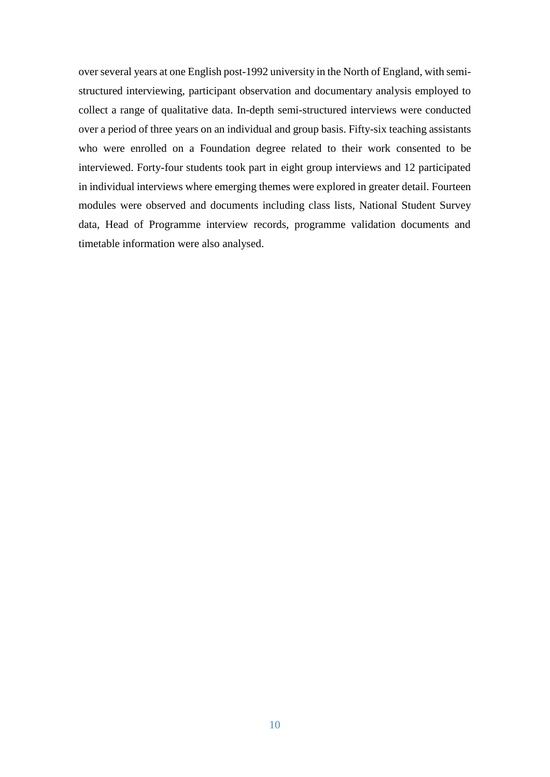over several years at one English post-1992 university in the North of England, with semistructured interviewing, participant observation and documentary analysis employed to collect a range of qualitative data. In-depth semi-structured interviews were conducted over a period of three years on an individual and group basis. Fifty-six teaching assistants who were enrolled on a Foundation degree related to their work consented to be interviewed. Forty-four students took part in eight group interviews and 12 participated in individual interviews where emerging themes were explored in greater detail. Fourteen modules were observed and documents including class lists, National Student Survey data, Head of Programme interview records, programme validation documents and timetable information were also analysed.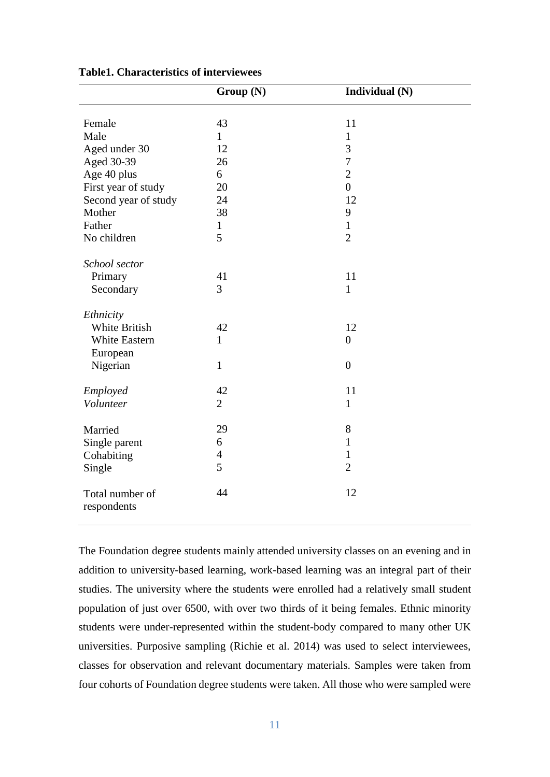|                                | Group (N)      | Individual (N)   |
|--------------------------------|----------------|------------------|
| Female                         | 43             | 11               |
| Male                           | $\mathbf{1}$   | $\mathbf{1}$     |
| Aged under 30                  | 12             | 3                |
| Aged 30-39                     | 26             | $\overline{7}$   |
| Age 40 plus                    | 6              | $\overline{2}$   |
| First year of study            | 20             | $\overline{0}$   |
| Second year of study           | 24             | 12               |
| Mother                         | 38             | 9                |
| Father                         | $\mathbf{1}$   | $\mathbf{1}$     |
| No children                    | 5              | $\overline{2}$   |
| School sector                  |                |                  |
| Primary                        | 41             | 11               |
| Secondary                      | $\overline{3}$ | $\mathbf{1}$     |
| Ethnicity                      |                |                  |
| White British                  | 42             | 12               |
| White Eastern                  | $\mathbf{1}$   | $\overline{0}$   |
| European                       |                |                  |
| Nigerian                       | $\mathbf{1}$   | $\boldsymbol{0}$ |
| Employed                       | 42             | 11               |
| Volunteer                      | $\overline{2}$ | $\mathbf{1}$     |
|                                |                |                  |
| Married                        | 29             | 8                |
| Single parent                  | 6              | $\mathbf{1}$     |
| Cohabiting                     | $\overline{4}$ | $\mathbf{1}$     |
| Single                         | 5              | $\overline{2}$   |
| Total number of<br>respondents | 44             | 12               |

**Table1. Characteristics of interviewees**

The Foundation degree students mainly attended university classes on an evening and in addition to university-based learning, work-based learning was an integral part of their studies. The university where the students were enrolled had a relatively small student population of just over 6500, with over two thirds of it being females. Ethnic minority students were under-represented within the student-body compared to many other UK universities. Purposive sampling (Richie et al. 2014) was used to select interviewees, classes for observation and relevant documentary materials. Samples were taken from four cohorts of Foundation degree students were taken. All those who were sampled were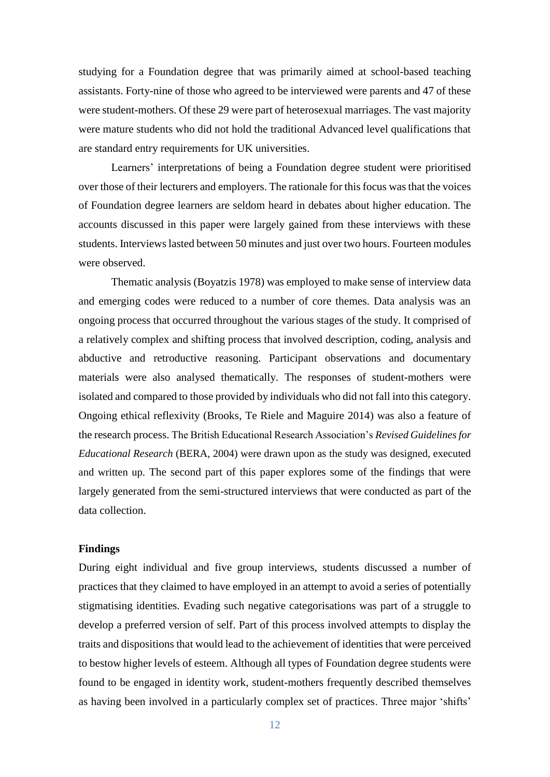studying for a Foundation degree that was primarily aimed at school-based teaching assistants. Forty-nine of those who agreed to be interviewed were parents and 47 of these were student-mothers. Of these 29 were part of heterosexual marriages. The vast majority were mature students who did not hold the traditional Advanced level qualifications that are standard entry requirements for UK universities.

Learners' interpretations of being a Foundation degree student were prioritised over those of their lecturers and employers. The rationale for this focus was that the voices of Foundation degree learners are seldom heard in debates about higher education. The accounts discussed in this paper were largely gained from these interviews with these students. Interviews lasted between 50 minutes and just over two hours. Fourteen modules were observed.

Thematic analysis (Boyatzis 1978) was employed to make sense of interview data and emerging codes were reduced to a number of core themes. Data analysis was an ongoing process that occurred throughout the various stages of the study. It comprised of a relatively complex and shifting process that involved description, coding, analysis and abductive and retroductive reasoning. Participant observations and documentary materials were also analysed thematically. The responses of student-mothers were isolated and compared to those provided by individuals who did not fall into this category. Ongoing ethical reflexivity (Brooks, Te Riele and Maguire 2014) was also a feature of the research process. The British Educational Research Association's *Revised Guidelines for Educational Research* (BERA, 2004) were drawn upon as the study was designed, executed and written up. The second part of this paper explores some of the findings that were largely generated from the semi-structured interviews that were conducted as part of the data collection.

### **Findings**

During eight individual and five group interviews, students discussed a number of practices that they claimed to have employed in an attempt to avoid a series of potentially stigmatising identities. Evading such negative categorisations was part of a struggle to develop a preferred version of self. Part of this process involved attempts to display the traits and dispositions that would lead to the achievement of identities that were perceived to bestow higher levels of esteem. Although all types of Foundation degree students were found to be engaged in identity work, student-mothers frequently described themselves as having been involved in a particularly complex set of practices. Three major 'shifts'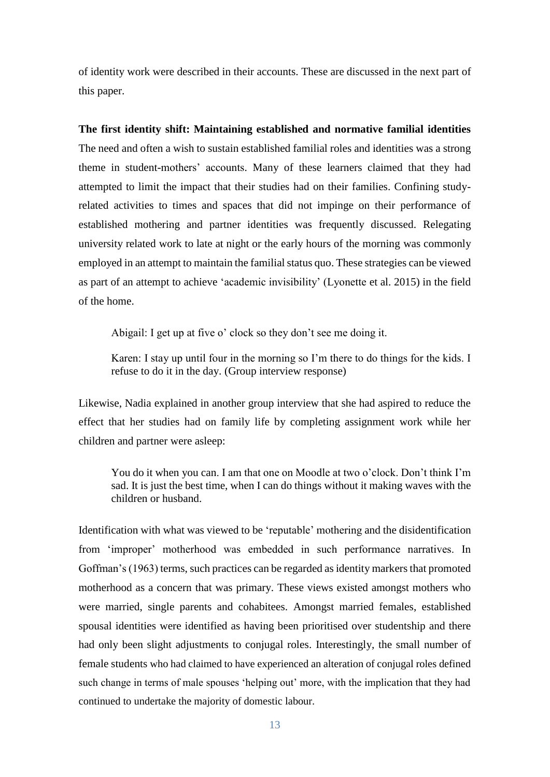of identity work were described in their accounts. These are discussed in the next part of this paper.

**The first identity shift: Maintaining established and normative familial identities**  The need and often a wish to sustain established familial roles and identities was a strong theme in student-mothers' accounts. Many of these learners claimed that they had attempted to limit the impact that their studies had on their families. Confining studyrelated activities to times and spaces that did not impinge on their performance of established mothering and partner identities was frequently discussed. Relegating university related work to late at night or the early hours of the morning was commonly employed in an attempt to maintain the familial status quo. These strategies can be viewed as part of an attempt to achieve 'academic invisibility' (Lyonette et al. 2015) in the field of the home.

Abigail: I get up at five o' clock so they don't see me doing it.

Karen: I stay up until four in the morning so I'm there to do things for the kids. I refuse to do it in the day. (Group interview response)

Likewise, Nadia explained in another group interview that she had aspired to reduce the effect that her studies had on family life by completing assignment work while her children and partner were asleep:

You do it when you can. I am that one on Moodle at two o'clock. Don't think I'm sad. It is just the best time, when I can do things without it making waves with the children or husband.

Identification with what was viewed to be 'reputable' mothering and the disidentification from 'improper' motherhood was embedded in such performance narratives. In Goffman's (1963) terms, such practices can be regarded as identity markers that promoted motherhood as a concern that was primary. These views existed amongst mothers who were married, single parents and cohabitees. Amongst married females, established spousal identities were identified as having been prioritised over studentship and there had only been slight adjustments to conjugal roles. Interestingly, the small number of female students who had claimed to have experienced an alteration of conjugal roles defined such change in terms of male spouses 'helping out' more, with the implication that they had continued to undertake the majority of domestic labour.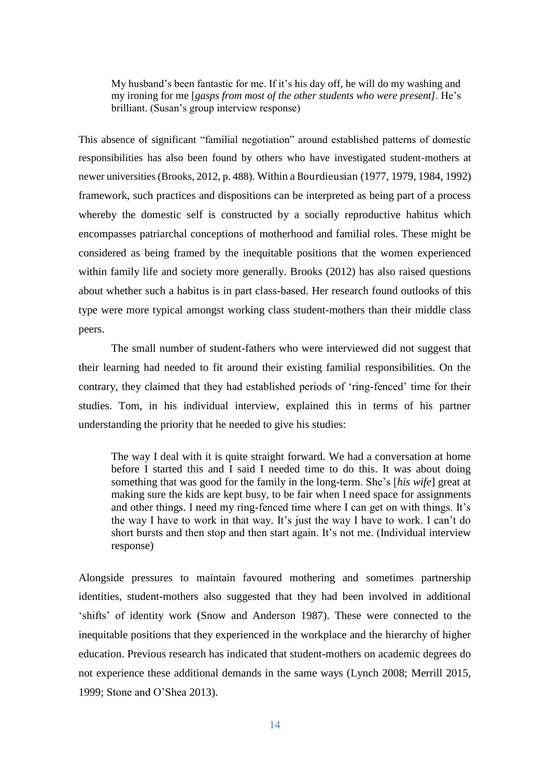My husband's been fantastic for me. If it's his day off, he will do my washing and my ironing for me [*gasps from most of the other students who were present]*. He's brilliant. (Susan's group interview response)

This absence of significant "familial negotiation" around established patterns of domestic responsibilities has also been found by others who have investigated student-mothers at newer universities (Brooks, 2012, p. 488). Within a Bourdieusian (1977, 1979, 1984, 1992) framework, such practices and dispositions can be interpreted as being part of a process whereby the domestic self is constructed by a socially reproductive habitus which encompasses patriarchal conceptions of motherhood and familial roles. These might be considered as being framed by the inequitable positions that the women experienced within family life and society more generally. Brooks (2012) has also raised questions about whether such a habitus is in part class-based. Her research found outlooks of this type were more typical amongst working class student-mothers than their middle class peers.

The small number of student-fathers who were interviewed did not suggest that their learning had needed to fit around their existing familial responsibilities. On the contrary, they claimed that they had established periods of 'ring-fenced' time for their studies. Tom, in his individual interview, explained this in terms of his partner understanding the priority that he needed to give his studies:

The way I deal with it is quite straight forward. We had a conversation at home before I started this and I said I needed time to do this. It was about doing something that was good for the family in the long-term. She's [*his wife*] great at making sure the kids are kept busy, to be fair when I need space for assignments and other things. I need my ring-fenced time where I can get on with things. It's the way I have to work in that way. It's just the way I have to work. I can't do short bursts and then stop and then start again. It's not me. (Individual interview response)

Alongside pressures to maintain favoured mothering and sometimes partnership identities, student-mothers also suggested that they had been involved in additional 'shifts' of identity work (Snow and Anderson 1987). These were connected to the inequitable positions that they experienced in the workplace and the hierarchy of higher education. Previous research has indicated that student-mothers on academic degrees do not experience these additional demands in the same ways (Lynch 2008; Merrill 2015, 1999; Stone and O'Shea 2013).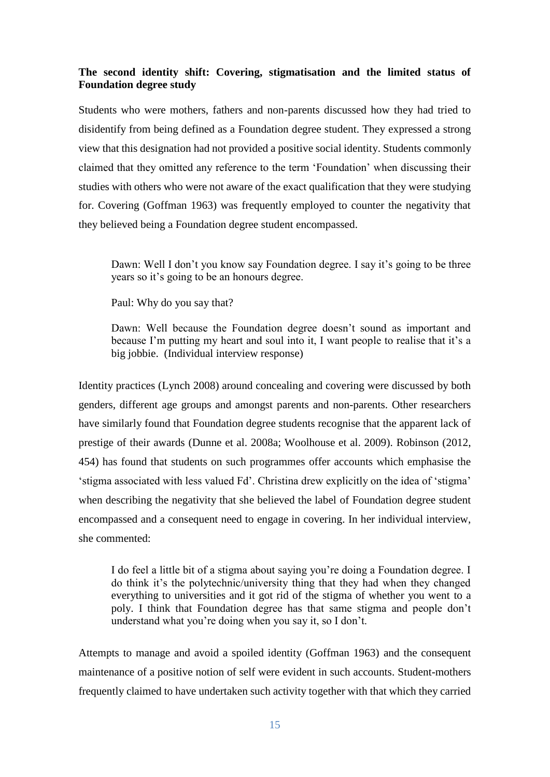## **The second identity shift: Covering, stigmatisation and the limited status of Foundation degree study**

Students who were mothers, fathers and non-parents discussed how they had tried to disidentify from being defined as a Foundation degree student. They expressed a strong view that this designation had not provided a positive social identity. Students commonly claimed that they omitted any reference to the term 'Foundation' when discussing their studies with others who were not aware of the exact qualification that they were studying for. Covering (Goffman 1963) was frequently employed to counter the negativity that they believed being a Foundation degree student encompassed.

Dawn: Well I don't you know say Foundation degree. I say it's going to be three years so it's going to be an honours degree.

Paul: Why do you say that?

Dawn: Well because the Foundation degree doesn't sound as important and because I'm putting my heart and soul into it, I want people to realise that it's a big jobbie. (Individual interview response)

Identity practices (Lynch 2008) around concealing and covering were discussed by both genders, different age groups and amongst parents and non-parents. Other researchers have similarly found that Foundation degree students recognise that the apparent lack of prestige of their awards (Dunne et al. 2008a; Woolhouse et al. 2009). Robinson (2012, 454) has found that students on such programmes offer accounts which emphasise the 'stigma associated with less valued Fd'. Christina drew explicitly on the idea of 'stigma' when describing the negativity that she believed the label of Foundation degree student encompassed and a consequent need to engage in covering. In her individual interview, she commented:

I do feel a little bit of a stigma about saying you're doing a Foundation degree. I do think it's the polytechnic/university thing that they had when they changed everything to universities and it got rid of the stigma of whether you went to a poly. I think that Foundation degree has that same stigma and people don't understand what you're doing when you say it, so I don't.

Attempts to manage and avoid a spoiled identity (Goffman 1963) and the consequent maintenance of a positive notion of self were evident in such accounts. Student-mothers frequently claimed to have undertaken such activity together with that which they carried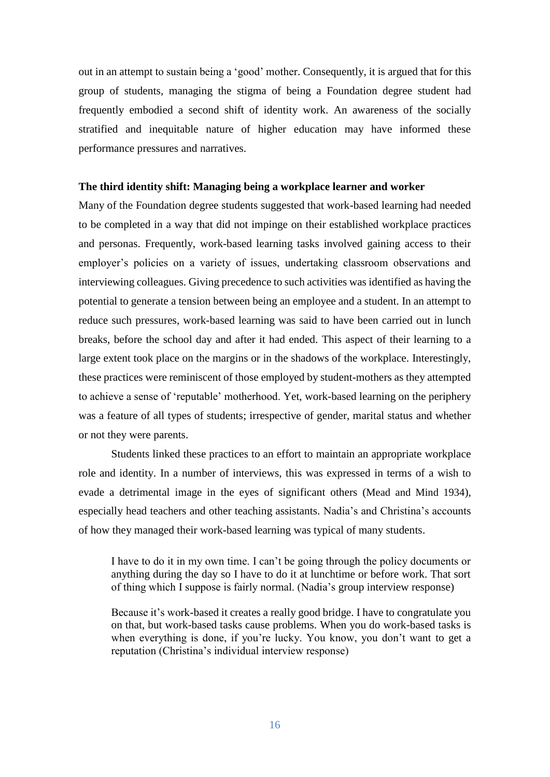out in an attempt to sustain being a 'good' mother. Consequently, it is argued that for this group of students, managing the stigma of being a Foundation degree student had frequently embodied a second shift of identity work. An awareness of the socially stratified and inequitable nature of higher education may have informed these performance pressures and narratives.

#### **The third identity shift: Managing being a workplace learner and worker**

Many of the Foundation degree students suggested that work-based learning had needed to be completed in a way that did not impinge on their established workplace practices and personas. Frequently, work-based learning tasks involved gaining access to their employer's policies on a variety of issues, undertaking classroom observations and interviewing colleagues. Giving precedence to such activities was identified as having the potential to generate a tension between being an employee and a student. In an attempt to reduce such pressures, work-based learning was said to have been carried out in lunch breaks, before the school day and after it had ended. This aspect of their learning to a large extent took place on the margins or in the shadows of the workplace. Interestingly, these practices were reminiscent of those employed by student-mothers as they attempted to achieve a sense of 'reputable' motherhood. Yet, work-based learning on the periphery was a feature of all types of students; irrespective of gender, marital status and whether or not they were parents.

Students linked these practices to an effort to maintain an appropriate workplace role and identity. In a number of interviews, this was expressed in terms of a wish to evade a detrimental image in the eyes of significant others (Mead and Mind 1934), especially head teachers and other teaching assistants. Nadia's and Christina's accounts of how they managed their work-based learning was typical of many students.

I have to do it in my own time. I can't be going through the policy documents or anything during the day so I have to do it at lunchtime or before work. That sort of thing which I suppose is fairly normal. (Nadia's group interview response)

Because it's work-based it creates a really good bridge. I have to congratulate you on that, but work-based tasks cause problems. When you do work-based tasks is when everything is done, if you're lucky. You know, you don't want to get a reputation (Christina's individual interview response)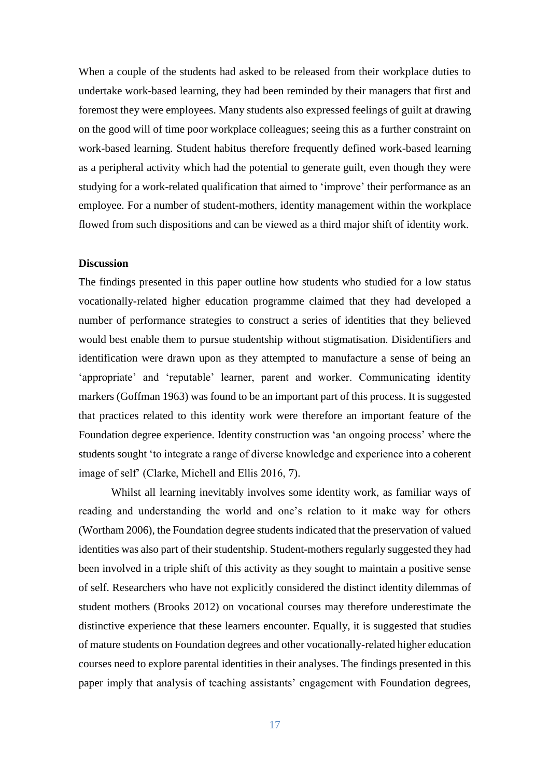When a couple of the students had asked to be released from their workplace duties to undertake work-based learning, they had been reminded by their managers that first and foremost they were employees. Many students also expressed feelings of guilt at drawing on the good will of time poor workplace colleagues; seeing this as a further constraint on work-based learning. Student habitus therefore frequently defined work-based learning as a peripheral activity which had the potential to generate guilt, even though they were studying for a work-related qualification that aimed to 'improve' their performance as an employee. For a number of student-mothers, identity management within the workplace flowed from such dispositions and can be viewed as a third major shift of identity work.

### **Discussion**

The findings presented in this paper outline how students who studied for a low status vocationally-related higher education programme claimed that they had developed a number of performance strategies to construct a series of identities that they believed would best enable them to pursue studentship without stigmatisation. Disidentifiers and identification were drawn upon as they attempted to manufacture a sense of being an 'appropriate' and 'reputable' learner, parent and worker. Communicating identity markers (Goffman 1963) was found to be an important part of this process. It is suggested that practices related to this identity work were therefore an important feature of the Foundation degree experience. Identity construction was 'an ongoing process' where the students sought 'to integrate a range of diverse knowledge and experience into a coherent image of self' (Clarke, Michell and Ellis 2016, 7).

Whilst all learning inevitably involves some identity work, as familiar ways of reading and understanding the world and one's relation to it make way for others (Wortham 2006), the Foundation degree students indicated that the preservation of valued identities was also part of their studentship. Student-mothers regularly suggested they had been involved in a triple shift of this activity as they sought to maintain a positive sense of self. Researchers who have not explicitly considered the distinct identity dilemmas of student mothers (Brooks 2012) on vocational courses may therefore underestimate the distinctive experience that these learners encounter. Equally, it is suggested that studies of mature students on Foundation degrees and other vocationally-related higher education courses need to explore parental identities in their analyses. The findings presented in this paper imply that analysis of teaching assistants' engagement with Foundation degrees,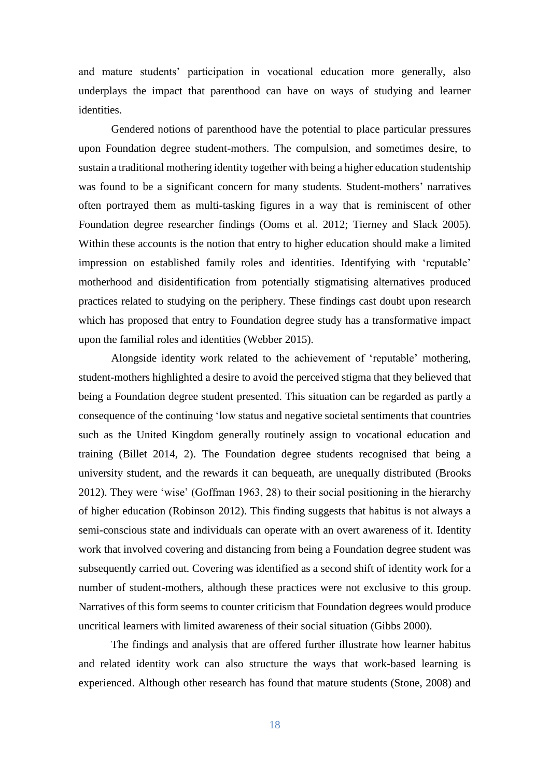and mature students' participation in vocational education more generally, also underplays the impact that parenthood can have on ways of studying and learner identities.

Gendered notions of parenthood have the potential to place particular pressures upon Foundation degree student-mothers. The compulsion, and sometimes desire, to sustain a traditional mothering identity together with being a higher education studentship was found to be a significant concern for many students. Student-mothers' narratives often portrayed them as multi-tasking figures in a way that is reminiscent of other Foundation degree researcher findings (Ooms et al. 2012; Tierney and Slack 2005). Within these accounts is the notion that entry to higher education should make a limited impression on established family roles and identities. Identifying with 'reputable' motherhood and disidentification from potentially stigmatising alternatives produced practices related to studying on the periphery. These findings cast doubt upon research which has proposed that entry to Foundation degree study has a transformative impact upon the familial roles and identities (Webber 2015).

Alongside identity work related to the achievement of 'reputable' mothering, student-mothers highlighted a desire to avoid the perceived stigma that they believed that being a Foundation degree student presented. This situation can be regarded as partly a consequence of the continuing 'low status and negative societal sentiments that countries such as the United Kingdom generally routinely assign to vocational education and training (Billet 2014, 2). The Foundation degree students recognised that being a university student, and the rewards it can bequeath, are unequally distributed (Brooks 2012). They were 'wise' (Goffman 1963, 28) to their social positioning in the hierarchy of higher education (Robinson 2012). This finding suggests that habitus is not always a semi-conscious state and individuals can operate with an overt awareness of it. Identity work that involved covering and distancing from being a Foundation degree student was subsequently carried out. Covering was identified as a second shift of identity work for a number of student-mothers, although these practices were not exclusive to this group. Narratives of this form seems to counter criticism that Foundation degrees would produce uncritical learners with limited awareness of their social situation (Gibbs 2000).

The findings and analysis that are offered further illustrate how learner habitus and related identity work can also structure the ways that work-based learning is experienced. Although other research has found that mature students (Stone, 2008) and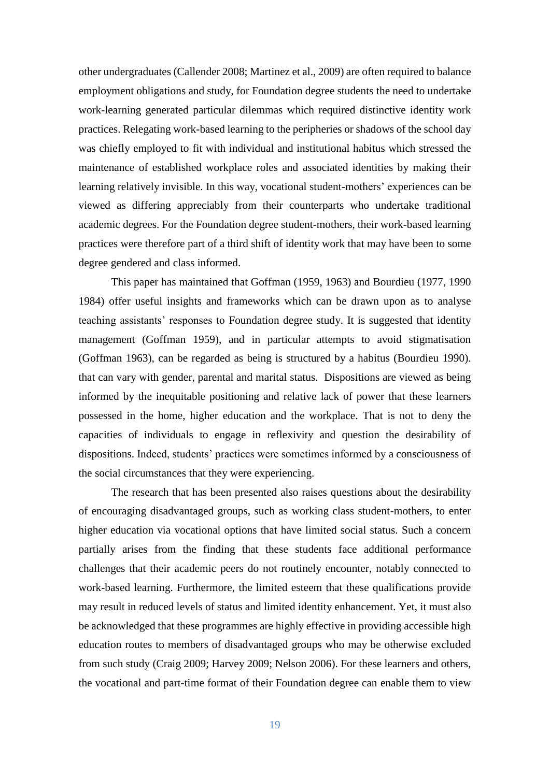other undergraduates (Callender 2008; Martinez et al., 2009) are often required to balance employment obligations and study, for Foundation degree students the need to undertake work-learning generated particular dilemmas which required distinctive identity work practices. Relegating work-based learning to the peripheries or shadows of the school day was chiefly employed to fit with individual and institutional habitus which stressed the maintenance of established workplace roles and associated identities by making their learning relatively invisible. In this way, vocational student-mothers' experiences can be viewed as differing appreciably from their counterparts who undertake traditional academic degrees. For the Foundation degree student-mothers, their work-based learning practices were therefore part of a third shift of identity work that may have been to some degree gendered and class informed.

This paper has maintained that Goffman (1959, 1963) and Bourdieu (1977, 1990 1984) offer useful insights and frameworks which can be drawn upon as to analyse teaching assistants' responses to Foundation degree study. It is suggested that identity management (Goffman 1959), and in particular attempts to avoid stigmatisation (Goffman 1963), can be regarded as being is structured by a habitus (Bourdieu 1990). that can vary with gender, parental and marital status. Dispositions are viewed as being informed by the inequitable positioning and relative lack of power that these learners possessed in the home, higher education and the workplace. That is not to deny the capacities of individuals to engage in reflexivity and question the desirability of dispositions. Indeed, students' practices were sometimes informed by a consciousness of the social circumstances that they were experiencing.

The research that has been presented also raises questions about the desirability of encouraging disadvantaged groups, such as working class student-mothers, to enter higher education via vocational options that have limited social status. Such a concern partially arises from the finding that these students face additional performance challenges that their academic peers do not routinely encounter, notably connected to work-based learning. Furthermore, the limited esteem that these qualifications provide may result in reduced levels of status and limited identity enhancement. Yet, it must also be acknowledged that these programmes are highly effective in providing accessible high education routes to members of disadvantaged groups who may be otherwise excluded from such study (Craig 2009; Harvey 2009; Nelson 2006). For these learners and others, the vocational and part-time format of their Foundation degree can enable them to view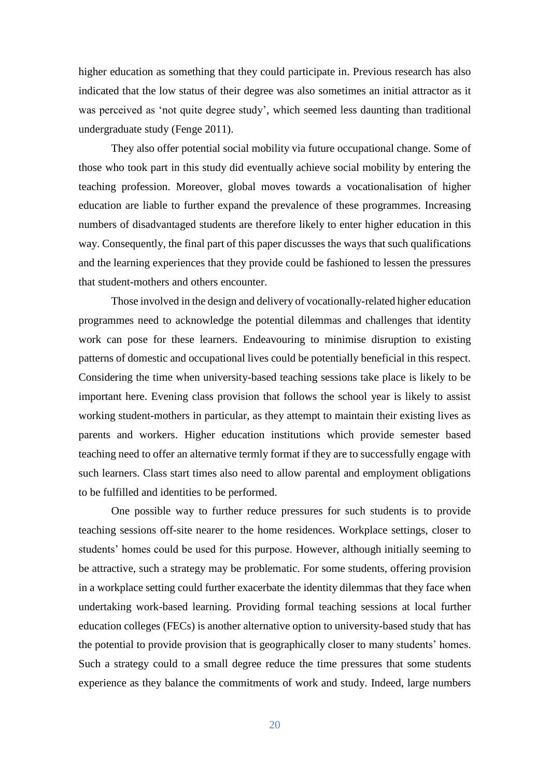higher education as something that they could participate in. Previous research has also indicated that the low status of their degree was also sometimes an initial attractor as it was perceived as 'not quite degree study', which seemed less daunting than traditional undergraduate study (Fenge 2011).

They also offer potential social mobility via future occupational change. Some of those who took part in this study did eventually achieve social mobility by entering the teaching profession. Moreover, global moves towards a vocationalisation of higher education are liable to further expand the prevalence of these programmes. Increasing numbers of disadvantaged students are therefore likely to enter higher education in this way. Consequently, the final part of this paper discusses the ways that such qualifications and the learning experiences that they provide could be fashioned to lessen the pressures that student-mothers and others encounter.

Those involved in the design and delivery of vocationally-related higher education programmes need to acknowledge the potential dilemmas and challenges that identity work can pose for these learners. Endeavouring to minimise disruption to existing patterns of domestic and occupational lives could be potentially beneficial in this respect. Considering the time when university-based teaching sessions take place is likely to be important here. Evening class provision that follows the school year is likely to assist working student-mothers in particular, as they attempt to maintain their existing lives as parents and workers. Higher education institutions which provide semester based teaching need to offer an alternative termly format if they are to successfully engage with such learners. Class start times also need to allow parental and employment obligations to be fulfilled and identities to be performed.

One possible way to further reduce pressures for such students is to provide teaching sessions off-site nearer to the home residences. Workplace settings, closer to students' homes could be used for this purpose. However, although initially seeming to be attractive, such a strategy may be problematic. For some students, offering provision in a workplace setting could further exacerbate the identity dilemmas that they face when undertaking work-based learning. Providing formal teaching sessions at local further education colleges (FECs) is another alternative option to university-based study that has the potential to provide provision that is geographically closer to many students' homes. Such a strategy could to a small degree reduce the time pressures that some students experience as they balance the commitments of work and study. Indeed, large numbers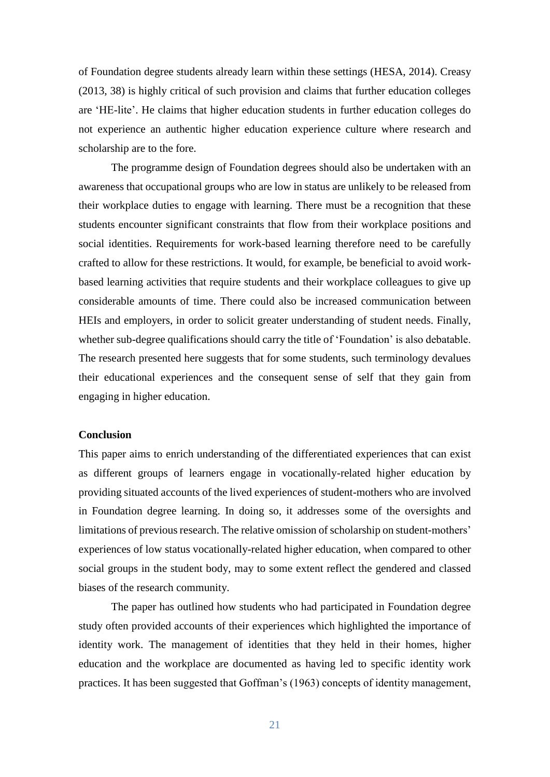of Foundation degree students already learn within these settings (HESA, 2014). Creasy (2013, 38) is highly critical of such provision and claims that further education colleges are 'HE-lite'. He claims that higher education students in further education colleges do not experience an authentic higher education experience culture where research and scholarship are to the fore.

The programme design of Foundation degrees should also be undertaken with an awareness that occupational groups who are low in status are unlikely to be released from their workplace duties to engage with learning. There must be a recognition that these students encounter significant constraints that flow from their workplace positions and social identities. Requirements for work-based learning therefore need to be carefully crafted to allow for these restrictions. It would, for example, be beneficial to avoid workbased learning activities that require students and their workplace colleagues to give up considerable amounts of time. There could also be increased communication between HEIs and employers, in order to solicit greater understanding of student needs. Finally, whether sub-degree qualifications should carry the title of 'Foundation' is also debatable. The research presented here suggests that for some students, such terminology devalues their educational experiences and the consequent sense of self that they gain from engaging in higher education.

### **Conclusion**

This paper aims to enrich understanding of the differentiated experiences that can exist as different groups of learners engage in vocationally-related higher education by providing situated accounts of the lived experiences of student-mothers who are involved in Foundation degree learning. In doing so, it addresses some of the oversights and limitations of previous research. The relative omission of scholarship on student-mothers' experiences of low status vocationally-related higher education, when compared to other social groups in the student body, may to some extent reflect the gendered and classed biases of the research community.

The paper has outlined how students who had participated in Foundation degree study often provided accounts of their experiences which highlighted the importance of identity work. The management of identities that they held in their homes, higher education and the workplace are documented as having led to specific identity work practices. It has been suggested that Goffman's (1963) concepts of identity management,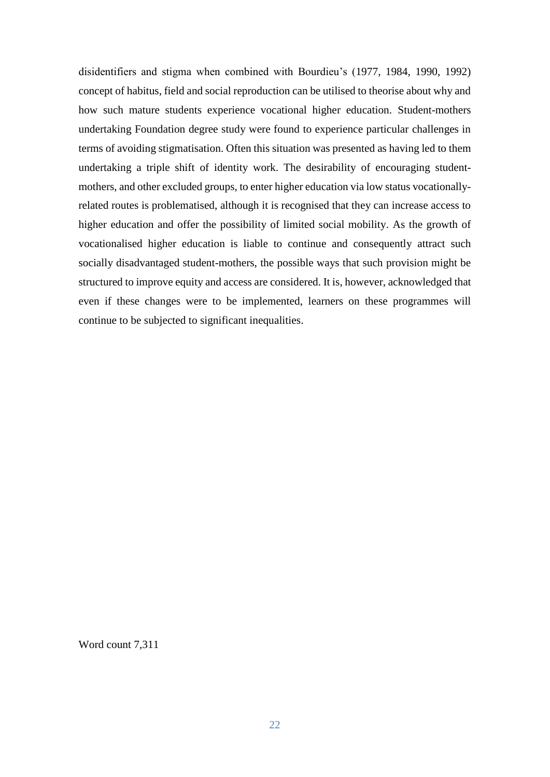disidentifiers and stigma when combined with Bourdieu's (1977, 1984, 1990, 1992) concept of habitus, field and social reproduction can be utilised to theorise about why and how such mature students experience vocational higher education. Student-mothers undertaking Foundation degree study were found to experience particular challenges in terms of avoiding stigmatisation. Often this situation was presented as having led to them undertaking a triple shift of identity work. The desirability of encouraging studentmothers, and other excluded groups, to enter higher education via low status vocationallyrelated routes is problematised, although it is recognised that they can increase access to higher education and offer the possibility of limited social mobility. As the growth of vocationalised higher education is liable to continue and consequently attract such socially disadvantaged student-mothers, the possible ways that such provision might be structured to improve equity and access are considered. It is, however, acknowledged that even if these changes were to be implemented, learners on these programmes will continue to be subjected to significant inequalities.

Word count 7,311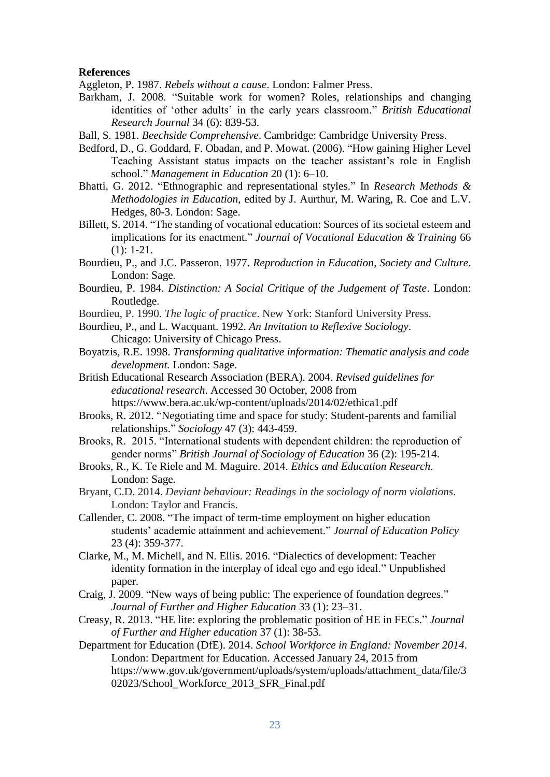#### **References**

Aggleton, P. 1987. *Rebels without a cause*. London: Falmer Press.

- Barkham, J. 2008. "Suitable work for women? Roles, relationships and changing identities of 'other adults' in the early years classroom." *British Educational Research Journal* 34 (6): 839-53.
- Ball, S. 1981. *Beechside Comprehensive*. Cambridge: Cambridge University Press.
- Bedford, D., G. Goddard, F. Obadan, and P. Mowat. (2006). "How gaining Higher Level Teaching Assistant status impacts on the teacher assistant's role in English school." *Management in Education* 20 (1): 6–10.
- Bhatti, G. 2012. "Ethnographic and representational styles." In *Research Methods & Methodologies in Education*, edited by J. Aurthur, M. Waring, R. Coe and L.V. Hedges, 80-3. London: Sage.
- Billett, S. 2014. "The standing of vocational education: Sources of its societal esteem and implications for its enactment." *Journal of Vocational Education & Training* 66 (1): 1-21.
- Bourdieu, P., and J.C. Passeron. 1977. *Reproduction in Education, Society and Culture*. London: Sage.
- Bourdieu, P. 1984*. Distinction: A Social Critique of the Judgement of Taste*. London: Routledge.
- Bourdieu, P. 1990. *The logic of practice*. New York: Stanford University Press.
- Bourdieu, P., and L. Wacquant. 1992. *An Invitation to Reflexive Sociology*. Chicago: University of Chicago Press.
- Boyatzis, R.E. 1998. *Transforming qualitative information: Thematic analysis and code development.* London: Sage.
- British Educational Research Association (BERA). 2004. *Revised guidelines for educational research*. Accessed 30 October, 2008 from https://www.bera.ac.uk/wp-content/uploads/2014/02/ethica1.pdf
- Brooks, R. 2012. "Negotiating time and space for study: Student-parents and familial relationships." *Sociology* 47 (3): 443-459.
- Brooks, R. 2015. "International students with dependent children: the reproduction of gender norms" *British Journal of Sociology of Education* 36 (2): 195-214.
- Brooks, R., K. Te Riele and M. Maguire. 2014. *Ethics and Education Research*. London: Sage.
- Bryant, C.D. 2014. *Deviant behaviour: Readings in the sociology of norm violations*. London: Taylor and Francis.
- Callender, C. 2008. "The impact of term-time employment on higher education students' academic attainment and achievement." *Journal of Education Policy* 23 (4): 359-377.
- Clarke, M., M. Michell, and N. Ellis. 2016. "Dialectics of development: Teacher identity formation in the interplay of ideal ego and ego ideal." Unpublished paper.
- Craig, J. 2009. "New ways of being public: The experience of foundation degrees." *Journal of Further and Higher Education* 33 (1): 23–31.
- Creasy, R. 2013. "HE lite: exploring the problematic position of HE in FECs." *Journal of Further and Higher education* 37 (1): 38-53.
- Department for Education (DfE). 2014. *School Workforce in England: November 2014*. London: Department for Education. Accessed January 24, 2015 from https://www.gov.uk/government/uploads/system/uploads/attachment\_data/file/3 02023/School\_Workforce\_2013\_SFR\_Final.pdf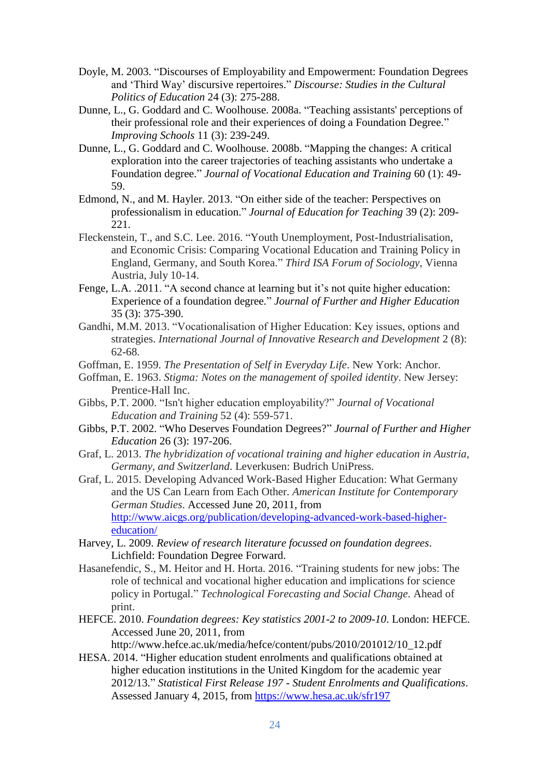- Doyle, M. 2003. "Discourses of Employability and Empowerment: Foundation Degrees and 'Third Way' discursive repertoires." *Discourse: Studies in the Cultural Politics of Education* 24 (3): 275-288.
- Dunne, L., G. Goddard and C. Woolhouse. 2008a. "Teaching assistants' perceptions of their professional role and their experiences of doing a Foundation Degree." *Improving Schools* 11 (3): 239-249.
- Dunne, L., G. Goddard and C. Woolhouse. 2008b. "Mapping the changes: A critical exploration into the career trajectories of teaching assistants who undertake a Foundation degree." *Journal of Vocational Education and Training* 60 (1): 49- 59.
- Edmond, N., and M. Hayler. 2013. "On either side of the teacher: Perspectives on professionalism in education." *Journal of Education for Teaching* 39 (2): 209- 221.
- Fleckenstein, T., and S.C. Lee. 2016. "Youth Unemployment, Post-Industrialisation, and Economic Crisis: Comparing Vocational Education and Training Policy in England, Germany, and South Korea." *Third ISA Forum of Sociology*, Vienna Austria, July 10-14.
- Fenge, L.A. .2011. "A second chance at learning but it's not quite higher education: Experience of a foundation degree." *Journal of Further and Higher Education* 35 (3): 375-390.
- Gandhi, M.M. 2013. "Vocationalisation of Higher Education: Key issues, options and strategies. *International Journal of Innovative Research and Development* 2 (8): 62-68.
- Goffman, E. 1959. *The Presentation of Self in Everyday Life*. New York: Anchor.
- Goffman, E. 1963. *Stigma: Notes on the management of spoiled identity*. New Jersey: Prentice-Hall Inc.
- Gibbs, P.T. 2000. "Isn't higher education employability?" *Journal of Vocational Education and Training* 52 (4): 559-571.
- Gibbs, P.T. 2002. "Who Deserves Foundation Degrees?" *Journal of Further and Higher Education* 26 (3): 197-206.
- Graf, L. 2013. *The hybridization of vocational training and higher education in Austria, Germany, and Switzerland*. Leverkusen: Budrich UniPress.
- Graf, L. 2015. Developing Advanced Work-Based Higher Education: What Germany and the US Can Learn from Each Other. *American Institute for Contemporary German Studies*. Accessed June 20, 2011, from [http://www.aicgs.org/publication/developing-advanced-work-based-higher](http://www.aicgs.org/publication/developing-advanced-work-based-higher-education/)[education/](http://www.aicgs.org/publication/developing-advanced-work-based-higher-education/)
- Harvey, L. 2009. *Review of research literature focussed on foundation degrees*. Lichfield: Foundation Degree Forward.
- Hasanefendic, S., M. Heitor and H. Horta. 2016. "Training students for new jobs: The role of technical and vocational higher education and implications for science policy in Portugal." *Technological Forecasting and Social Change.* Ahead of print.
- HEFCE. 2010. *Foundation degrees: Key statistics 2001-2 to 2009-10*. London: HEFCE. Accessed June 20, 2011, from

http://www.hefce.ac.uk/media/hefce/content/pubs/2010/201012/10\_12.pdf

HESA. 2014. "Higher education student enrolments and qualifications obtained at higher education institutions in the United Kingdom for the academic year 2012/13." *Statistical First Release 197 - Student Enrolments and Qualifications*. Assessed January 4, 2015, from<https://www.hesa.ac.uk/sfr197>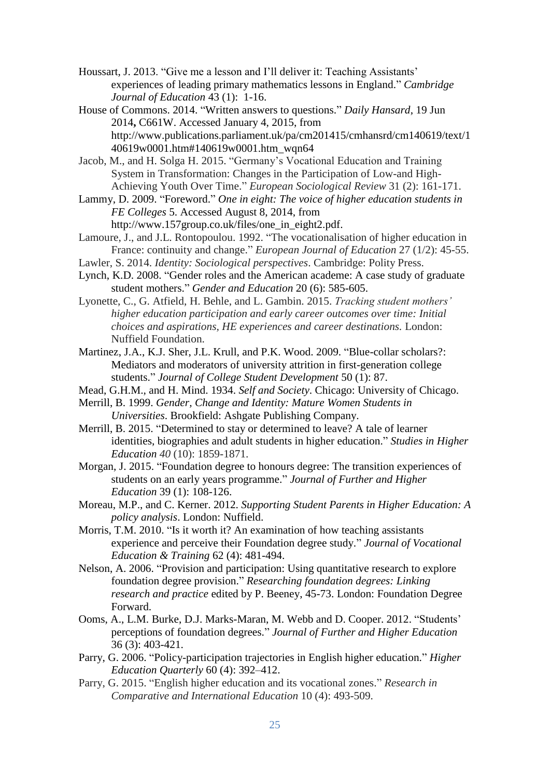Houssart, J. 2013. "Give me a lesson and I'll deliver it: Teaching Assistants' experiences of leading primary mathematics lessons in England." *Cambridge Journal of Education* 43 (1): 1-16.

House of Commons. 2014. "Written answers to questions." *Daily Hansard*, 19 Jun 2014**,** C661W. Accessed January 4, 2015, from http://www.publications.parliament.uk/pa/cm201415/cmhansrd/cm140619/text/1 40619w0001.htm#140619w0001.htm\_wqn64

- Jacob, M., and H. Solga H. 2015. "Germany's Vocational Education and Training System in Transformation: Changes in the Participation of Low-and High-Achieving Youth Over Time." *European Sociological Review* 31 (2): 161-171.
- Lammy, D. 2009. "Foreword." *One in eight: The voice of higher education students in FE Colleges* 5. Accessed August 8, 2014, from http://www.157group.co.uk/files/one\_in\_eight2.pdf.
- Lamoure, J., and J.L. Rontopoulou. 1992. "The vocationalisation of higher education in France: continuity and change." *European Journal of Education* 27 (1/2): 45-55.
- Lawler, S. 2014. *Identity: Sociological perspectives*. Cambridge: Polity Press.
- Lynch, K.D. 2008. "Gender roles and the American academe: A case study of graduate student mothers." *Gender and Education* 20 (6): 585-605.
- Lyonette, C., G. Atfield, H. Behle, and L. Gambin. 2015. *Tracking student mothers' higher education participation and early career outcomes over time: Initial choices and aspirations, HE experiences and career destinations.* London: Nuffield Foundation.
- Martinez, J.A., K.J. Sher, J.L. Krull, and P.K. Wood. 2009. "Blue-collar scholars?: Mediators and moderators of university attrition in first-generation college students." *Journal of College Student Development* 50 (1): 87.
- Mead, G.H.M., and H. Mind. 1934. *Self and Society*. Chicago: University of Chicago.
- Merrill, B. 1999. *Gender, Change and Identity: Mature Women Students in Universities*. Brookfield: Ashgate Publishing Company.
- Merrill, B. 2015. "Determined to stay or determined to leave? A tale of learner identities, biographies and adult students in higher education." *Studies in Higher Education 40* (10): 1859-1871.
- Morgan, J. 2015. "Foundation degree to honours degree: The transition experiences of students on an early years programme." *Journal of Further and Higher Education* 39 (1): 108-126.
- Moreau, M.P., and C. Kerner. 2012. *Supporting Student Parents in Higher Education: A policy analysis*. London: Nuffield.
- Morris, T.M. 2010. "Is it worth it? An examination of how teaching assistants experience and perceive their Foundation degree study." *Journal of Vocational Education & Training* 62 (4): 481-494.
- Nelson, A. 2006. "Provision and participation: Using quantitative research to explore foundation degree provision." *Researching foundation degrees: Linking research and practice* edited by P. Beeney, 45-73. London: Foundation Degree Forward.
- Ooms, A., L.M. Burke, D.J. Marks-Maran, M. Webb and D. Cooper. 2012. "Students' perceptions of foundation degrees." *Journal of Further and Higher Education* 36 (3): 403-421.
- Parry, G. 2006. "Policy-participation trajectories in English higher education." *Higher Education Quarterly* 60 (4): 392–412.
- Parry, G. 2015. "English higher education and its vocational zones." *Research in Comparative and International Education* 10 (4): 493-509.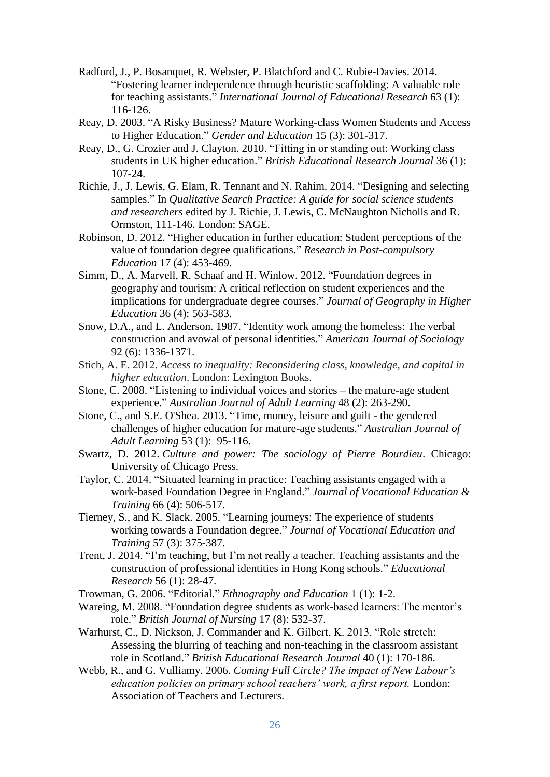- Radford, J., P. Bosanquet, R. Webster, P. Blatchford and C. Rubie-Davies. 2014. "Fostering learner independence through heuristic scaffolding: A valuable role for teaching assistants." *International Journal of Educational Research* 63 (1): 116-126.
- Reay, D. 2003. "A Risky Business? Mature Working-class Women Students and Access to Higher Education." *Gender and Education* 15 (3): 301-317.
- Reay, D., G. Crozier and J. Clayton. 2010. "Fitting in or standing out: Working class students in UK higher education." *British Educational Research Journal* 36 (1): 107-24.
- Richie, J., J. Lewis, G. Elam, R. Tennant and N. Rahim. 2014. "Designing and selecting samples." In *Qualitative Search Practice: A guide for social science students and researchers* edited by J. Richie, J. Lewis, C. McNaughton Nicholls and R. Ormston, 111-146*.* London: SAGE.
- Robinson, D. 2012. "Higher education in further education: Student perceptions of the value of foundation degree qualifications." *Research in Post-compulsory Education* 17 (4): 453-469.
- Simm, D., A. Marvell, R. Schaaf and H. Winlow. 2012. "Foundation degrees in geography and tourism: A critical reflection on student experiences and the implications for undergraduate degree courses." *Journal of Geography in Higher Education* 36 (4): 563-583.
- Snow, D.A., and L. Anderson. 1987. "Identity work among the homeless: The verbal construction and avowal of personal identities." *American Journal of Sociology* 92 (6): 1336-1371.
- Stich, A. E. 2012. *Access to inequality: Reconsidering class, knowledge, and capital in higher education*. London: Lexington Books.
- Stone, C. 2008. "Listening to individual voices and stories the mature-age student experience." *Australian Journal of Adult Learning* 48 (2): 263-290.
- Stone, C., and S.E. O'Shea. 2013. "Time, money, leisure and guilt the gendered challenges of higher education for mature-age students." *Australian Journal of Adult Learning* 53 (1): 95-116.
- Swartz, D. 2012. *Culture and power: The sociology of Pierre Bourdieu*. Chicago: University of Chicago Press.
- Taylor, C. 2014. "Situated learning in practice: Teaching assistants engaged with a work-based Foundation Degree in England." *Journal of Vocational Education & Training* 66 (4): 506-517.
- Tierney, S., and K. Slack. 2005. "Learning journeys: The experience of students working towards a Foundation degree." *Journal of Vocational Education and Training* 57 (3): 375-387.
- Trent, J. 2014. "I'm teaching, but I'm not really a teacher. Teaching assistants and the construction of professional identities in Hong Kong schools." *Educational Research* 56 (1): 28-47.
- Trowman, G. 2006. "Editorial." *Ethnography and Education* 1 (1): 1-2.
- Wareing, M. 2008. "Foundation degree students as work-based learners: The mentor's role." *British Journal of Nursing* 17 (8): 532-37.
- Warhurst, C., D. Nickson, J. Commander and K. Gilbert, K. 2013. "Role stretch: Assessing the blurring of teaching and non‐teaching in the classroom assistant role in Scotland." *British Educational Research Journal* 40 (1): 170-186.
- Webb, R., and G. Vulliamy. 2006. *Coming Full Circle? The impact of New Labour's education policies on primary school teachers' work, a first report.* London: Association of Teachers and Lecturers.